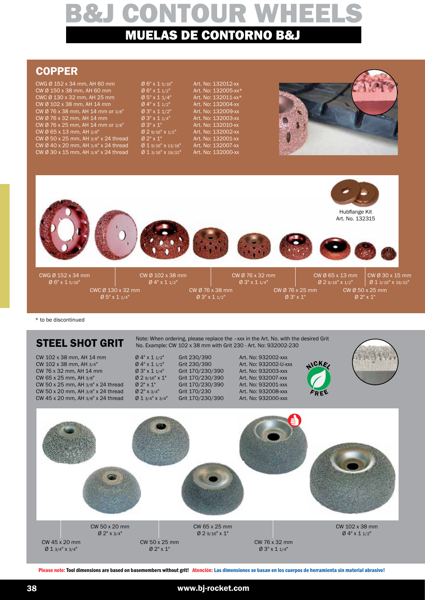## **COPPER**

| $0.6"$ x 1 5/16"<br>Ø 6" X 1 1/2"<br>Ø 5" x 1 1/4"<br>Ø 4" x 1 1/2"<br>Ø 3" x 1 1/2"<br>$Ø 3" \times 11/4"$<br>$0.3" \times 1"$<br>$Ø$ 2 9/16" X 1/2"<br>$0.2" \times 1"$<br>$Ø$ 1 9/16" X 13/16"<br>$Ø$ 1 3/16" X 19/32" | CWG Ø 152 x 34 mm, AH 60 mm<br>CWC Ø 130 x 32 mm, AH 25 mm<br>CW Ø 76 x 38 mm, AH 14 mm or 3/8"<br>CW Ø 76 x 25 mm, AH 14 mm or 3/8"<br>CW Ø 50 x 25 mm, AH 3/8" x 24 thread<br>CW Ø 40 x 20 mm, AH 3/8" x 24 thread<br>CW Ø 30 x 15 mm, AH 3/8" x 24 thread |
|---------------------------------------------------------------------------------------------------------------------------------------------------------------------------------------------------------------------------|--------------------------------------------------------------------------------------------------------------------------------------------------------------------------------------------------------------------------------------------------------------|
|---------------------------------------------------------------------------------------------------------------------------------------------------------------------------------------------------------------------------|--------------------------------------------------------------------------------------------------------------------------------------------------------------------------------------------------------------------------------------------------------------|



\* to be discontinued

## STEEL SHOT GRIT

CW 102 x 38 mm, AH 14 mm  $\emptyset$  4" x 1 1/2" Grit 230/390 Art. No: 932002-xxx<br>
CW 102 x 38 mm, AH 3/4"  $\emptyset$  4" x 1 1/2" Grit 230/390 Art. No: 932002-U-xxx CW 102 x 38 mm, AH 3/4"  $Q_4$ " x 1 1/2" Grit 230/390 Art. No: 932002-U-xx<br>CW 76 x 32 mm, AH 14 mm  $Q_3$ " x 1 1/4" Grit 170/230/390 Art. No: 932003-xxx  $CW$  76 x 32 mm, AH 14 mm CW 65 x 25 mm, AH 3/8"<br>
CW 50 x 25 mm, AH 3/8" x 24 thread  $\sigma$  2" x 1" Grit 170/230/390 Art. No: 932001-xxx CW 50 x 25 mm, AH 3/8" x 24 thread  $\sigma$  2" x 1" Grit 170/230/390 Art. No: 932001-xxx<br>CW 50 x 20 mm, AH 3/8" x 24 thread  $\sigma$  2" x 3/4" Grit 170/230 Art. No: 932008-xxx CW 50 x 20 mm, AH 3/8" x 24 thread  $\sigma$  2" x 3/4" Grit 170/230 Art. No: 932008-xxx<br>CW 45 x 20 mm, AH 3/8" x 24 thread  $\sigma$  1 3/4" x 3/4" Grit 170/230/390 Art. No: 932000-xxx CW 45 x 20 mm, AH  $3/8$ " x 24 thread

Note: When ordering, please replace the –xxx in the Art. No. with the desired Grit No. Example: CW 102 x 38 mm with Grit 230 - Art. No: 932002-230







CW 45 x 20 mm Ø 1 3/4" x 3/4"

CW 50 x 25 mm Ø 2" x 1"

CW 76 x 32 mm Ø 3" x 1 1/4"